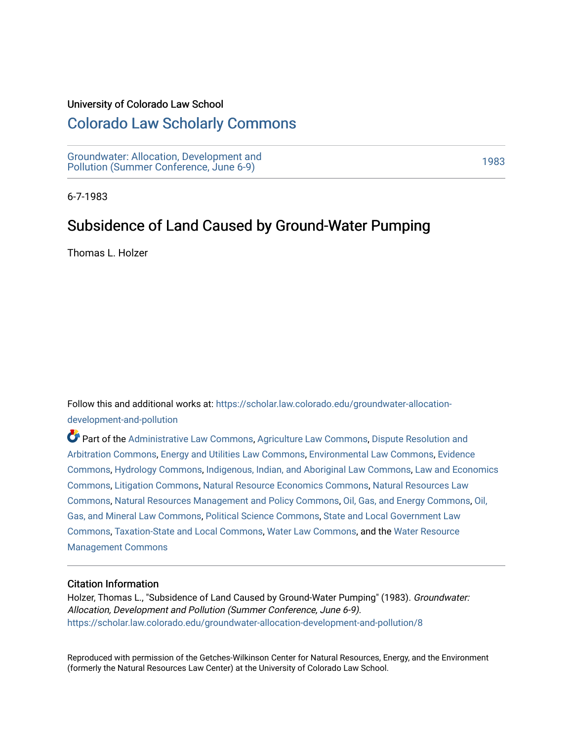## University of Colorado Law School

# [Colorado Law Scholarly Commons](https://scholar.law.colorado.edu/)

[Groundwater: Allocation, Development and](https://scholar.law.colorado.edu/groundwater-allocation-development-and-pollution)  Gioundwater. Allocation, Development and<br>Pollution (Summer Conference, June 6-9)

6-7-1983

# Subsidence of Land Caused by Ground-Water Pumping

Thomas L. Holzer

Follow this and additional works at: [https://scholar.law.colorado.edu/groundwater-allocation](https://scholar.law.colorado.edu/groundwater-allocation-development-and-pollution?utm_source=scholar.law.colorado.edu%2Fgroundwater-allocation-development-and-pollution%2F8&utm_medium=PDF&utm_campaign=PDFCoverPages)[development-and-pollution](https://scholar.law.colorado.edu/groundwater-allocation-development-and-pollution?utm_source=scholar.law.colorado.edu%2Fgroundwater-allocation-development-and-pollution%2F8&utm_medium=PDF&utm_campaign=PDFCoverPages)

Part of the [Administrative Law Commons,](http://network.bepress.com/hgg/discipline/579?utm_source=scholar.law.colorado.edu%2Fgroundwater-allocation-development-and-pollution%2F8&utm_medium=PDF&utm_campaign=PDFCoverPages) [Agriculture Law Commons](http://network.bepress.com/hgg/discipline/581?utm_source=scholar.law.colorado.edu%2Fgroundwater-allocation-development-and-pollution%2F8&utm_medium=PDF&utm_campaign=PDFCoverPages), [Dispute Resolution and](http://network.bepress.com/hgg/discipline/890?utm_source=scholar.law.colorado.edu%2Fgroundwater-allocation-development-and-pollution%2F8&utm_medium=PDF&utm_campaign=PDFCoverPages) [Arbitration Commons](http://network.bepress.com/hgg/discipline/890?utm_source=scholar.law.colorado.edu%2Fgroundwater-allocation-development-and-pollution%2F8&utm_medium=PDF&utm_campaign=PDFCoverPages), [Energy and Utilities Law Commons](http://network.bepress.com/hgg/discipline/891?utm_source=scholar.law.colorado.edu%2Fgroundwater-allocation-development-and-pollution%2F8&utm_medium=PDF&utm_campaign=PDFCoverPages), [Environmental Law Commons,](http://network.bepress.com/hgg/discipline/599?utm_source=scholar.law.colorado.edu%2Fgroundwater-allocation-development-and-pollution%2F8&utm_medium=PDF&utm_campaign=PDFCoverPages) [Evidence](http://network.bepress.com/hgg/discipline/601?utm_source=scholar.law.colorado.edu%2Fgroundwater-allocation-development-and-pollution%2F8&utm_medium=PDF&utm_campaign=PDFCoverPages)  [Commons](http://network.bepress.com/hgg/discipline/601?utm_source=scholar.law.colorado.edu%2Fgroundwater-allocation-development-and-pollution%2F8&utm_medium=PDF&utm_campaign=PDFCoverPages), [Hydrology Commons](http://network.bepress.com/hgg/discipline/1054?utm_source=scholar.law.colorado.edu%2Fgroundwater-allocation-development-and-pollution%2F8&utm_medium=PDF&utm_campaign=PDFCoverPages), [Indigenous, Indian, and Aboriginal Law Commons](http://network.bepress.com/hgg/discipline/894?utm_source=scholar.law.colorado.edu%2Fgroundwater-allocation-development-and-pollution%2F8&utm_medium=PDF&utm_campaign=PDFCoverPages), [Law and Economics](http://network.bepress.com/hgg/discipline/612?utm_source=scholar.law.colorado.edu%2Fgroundwater-allocation-development-and-pollution%2F8&utm_medium=PDF&utm_campaign=PDFCoverPages)  [Commons](http://network.bepress.com/hgg/discipline/612?utm_source=scholar.law.colorado.edu%2Fgroundwater-allocation-development-and-pollution%2F8&utm_medium=PDF&utm_campaign=PDFCoverPages), [Litigation Commons,](http://network.bepress.com/hgg/discipline/910?utm_source=scholar.law.colorado.edu%2Fgroundwater-allocation-development-and-pollution%2F8&utm_medium=PDF&utm_campaign=PDFCoverPages) [Natural Resource Economics Commons,](http://network.bepress.com/hgg/discipline/169?utm_source=scholar.law.colorado.edu%2Fgroundwater-allocation-development-and-pollution%2F8&utm_medium=PDF&utm_campaign=PDFCoverPages) [Natural Resources Law](http://network.bepress.com/hgg/discipline/863?utm_source=scholar.law.colorado.edu%2Fgroundwater-allocation-development-and-pollution%2F8&utm_medium=PDF&utm_campaign=PDFCoverPages)  [Commons](http://network.bepress.com/hgg/discipline/863?utm_source=scholar.law.colorado.edu%2Fgroundwater-allocation-development-and-pollution%2F8&utm_medium=PDF&utm_campaign=PDFCoverPages), [Natural Resources Management and Policy Commons,](http://network.bepress.com/hgg/discipline/170?utm_source=scholar.law.colorado.edu%2Fgroundwater-allocation-development-and-pollution%2F8&utm_medium=PDF&utm_campaign=PDFCoverPages) [Oil, Gas, and Energy Commons,](http://network.bepress.com/hgg/discipline/171?utm_source=scholar.law.colorado.edu%2Fgroundwater-allocation-development-and-pollution%2F8&utm_medium=PDF&utm_campaign=PDFCoverPages) [Oil,](http://network.bepress.com/hgg/discipline/864?utm_source=scholar.law.colorado.edu%2Fgroundwater-allocation-development-and-pollution%2F8&utm_medium=PDF&utm_campaign=PDFCoverPages)  [Gas, and Mineral Law Commons](http://network.bepress.com/hgg/discipline/864?utm_source=scholar.law.colorado.edu%2Fgroundwater-allocation-development-and-pollution%2F8&utm_medium=PDF&utm_campaign=PDFCoverPages), [Political Science Commons](http://network.bepress.com/hgg/discipline/386?utm_source=scholar.law.colorado.edu%2Fgroundwater-allocation-development-and-pollution%2F8&utm_medium=PDF&utm_campaign=PDFCoverPages), [State and Local Government Law](http://network.bepress.com/hgg/discipline/879?utm_source=scholar.law.colorado.edu%2Fgroundwater-allocation-development-and-pollution%2F8&utm_medium=PDF&utm_campaign=PDFCoverPages) [Commons](http://network.bepress.com/hgg/discipline/879?utm_source=scholar.law.colorado.edu%2Fgroundwater-allocation-development-and-pollution%2F8&utm_medium=PDF&utm_campaign=PDFCoverPages), [Taxation-State and Local Commons](http://network.bepress.com/hgg/discipline/882?utm_source=scholar.law.colorado.edu%2Fgroundwater-allocation-development-and-pollution%2F8&utm_medium=PDF&utm_campaign=PDFCoverPages), [Water Law Commons,](http://network.bepress.com/hgg/discipline/887?utm_source=scholar.law.colorado.edu%2Fgroundwater-allocation-development-and-pollution%2F8&utm_medium=PDF&utm_campaign=PDFCoverPages) and the [Water Resource](http://network.bepress.com/hgg/discipline/1057?utm_source=scholar.law.colorado.edu%2Fgroundwater-allocation-development-and-pollution%2F8&utm_medium=PDF&utm_campaign=PDFCoverPages) [Management Commons](http://network.bepress.com/hgg/discipline/1057?utm_source=scholar.law.colorado.edu%2Fgroundwater-allocation-development-and-pollution%2F8&utm_medium=PDF&utm_campaign=PDFCoverPages)

## Citation Information

Holzer, Thomas L., "Subsidence of Land Caused by Ground-Water Pumping" (1983). Groundwater: Allocation, Development and Pollution (Summer Conference, June 6-9). [https://scholar.law.colorado.edu/groundwater-allocation-development-and-pollution/8](https://scholar.law.colorado.edu/groundwater-allocation-development-and-pollution/8?utm_source=scholar.law.colorado.edu%2Fgroundwater-allocation-development-and-pollution%2F8&utm_medium=PDF&utm_campaign=PDFCoverPages)

Reproduced with permission of the Getches-Wilkinson Center for Natural Resources, Energy, and the Environment (formerly the Natural Resources Law Center) at the University of Colorado Law School.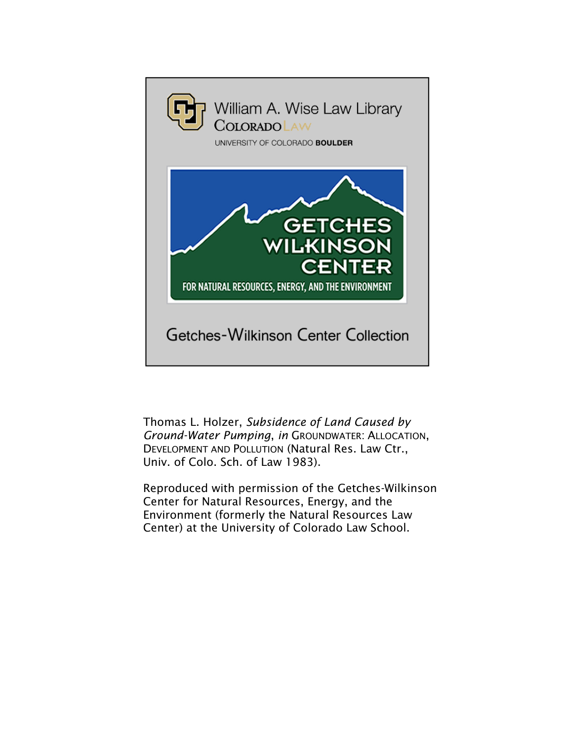

Thomas L. Holzer, *Subsidence of Land Caused by Ground-Water Pumping*, *in* GROUNDWATER: ALLOCATION, DEVELOPMENT AND POLLUTION (Natural Res. Law Ctr., Univ. of Colo. Sch. of Law 1983).

Reproduced with permission of the Getches-Wilkinson Center for Natural Resources, Energy, and the Environment (formerly the Natural Resources Law Center) at the University of Colorado Law School.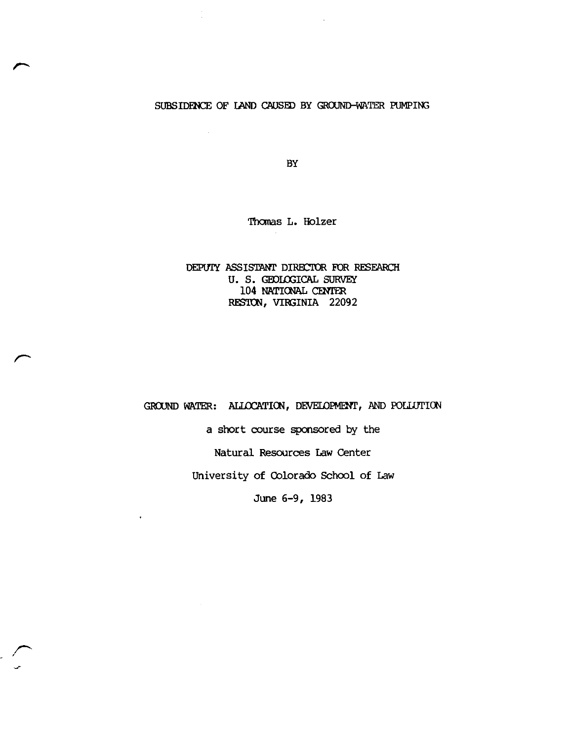## SUBSIDENCE OF LAND CAUSED BY GROUND-WATER PUMPING

 $\mathcal{A}$ 

BY

#### Thomas L. Holzer

## DEPUTY ASSISTANT DIRECTOR FOR RESEARCH U. S. GEOLOGICAL SURVEY 104 NATIONAL CENTER RESTON, VIRGINIA 22092

GROUND WATER: ALLOCATION, DEVELOPMENT, AND POLLUTION

a short course sponsored by the

Natural Resources Law Center

University of Colorado School of Law

June 6-9, 1983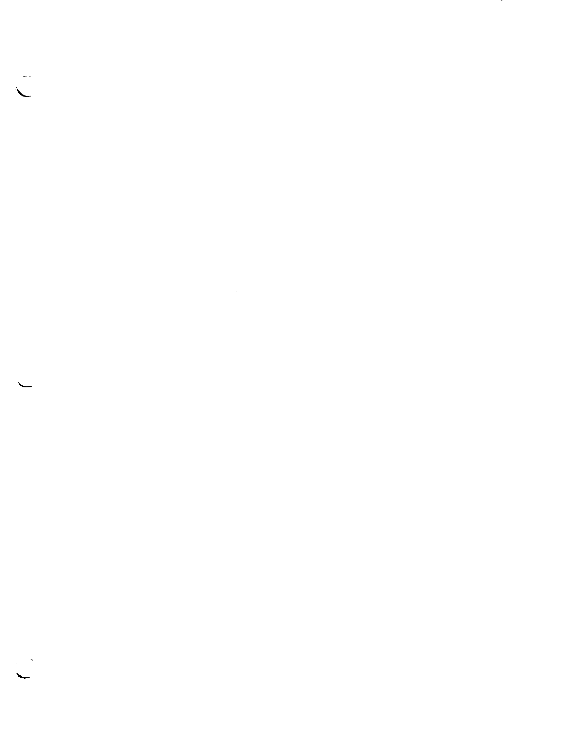

Ξ.

 $\label{eq:2.1} \frac{1}{\sqrt{2}}\left(\frac{1}{\sqrt{2}}\right)^{2} \left(\frac{1}{\sqrt{2}}\right)^{2} \left(\frac{1}{\sqrt{2}}\right)^{2} \left(\frac{1}{\sqrt{2}}\right)^{2} \left(\frac{1}{\sqrt{2}}\right)^{2} \left(\frac{1}{\sqrt{2}}\right)^{2} \left(\frac{1}{\sqrt{2}}\right)^{2} \left(\frac{1}{\sqrt{2}}\right)^{2} \left(\frac{1}{\sqrt{2}}\right)^{2} \left(\frac{1}{\sqrt{2}}\right)^{2} \left(\frac{1}{\sqrt{2}}\right)^{2} \left(\$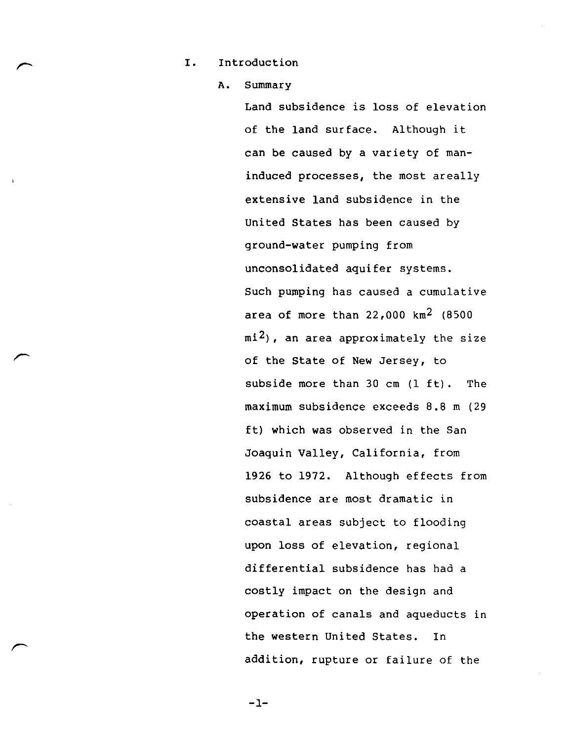#### I. Introduction

A. Summary

Land subsidence is loss of elevation of the land surface. Although it can be caused by a variety of maninduced processes, the most areally extensive land subsidence in the United States has been caused by ground-water pumping from unconsolidated aquifer systems. Such pumping has caused a cumulative area of more than  $22,000$  km<sup>2</sup> (8500  $m<sup>2</sup>$ , an area approximately the size of the State of New Jersey, to subside more than 30 cm (1 ft). The maximum subsidence exceeds 8.8 m (29 ft) which was observed in the San Joaquin Valley, California, from 1926 to 1972. Although effects from subsidence are most dramatic in coastal areas subject to flooding upon loss of elevation, regional differential subsidence has had a costly impact on the design and operation of canals and aqueducts in the western United States. In addition, rupture or failure of the

-1-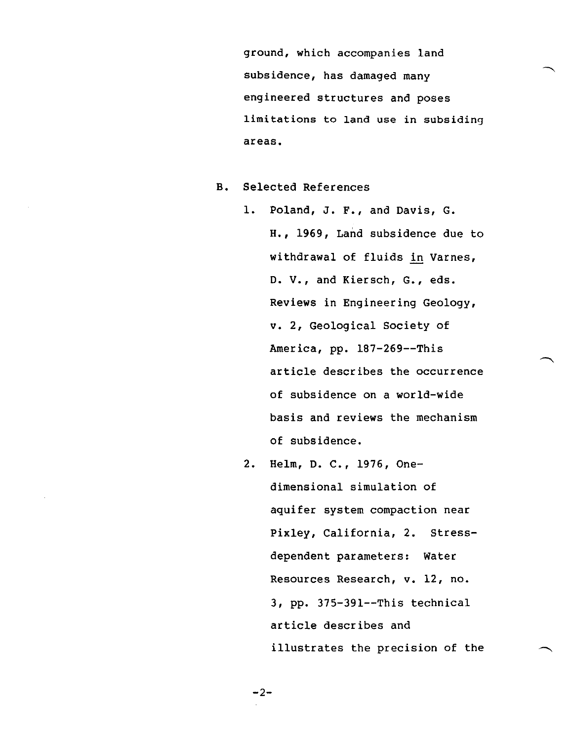ground, which accompanies land subsidence, has damaged many engineered structures and poses limitations to land use in subsiding areas.

- B. Selected References
	- 1. Poland, J. F., and Davis, G. H., 1969, Land subsidence due to withdrawal of fluids in Varnes, D. V., and Kiersch, G., eds. Reviews in Engineering Geology, v. 2, Geological Society of America, pp. 187-269--This article describes the occurrence of subsidence on a world-wide basis and reviews the mechanism of subsidence.
	- 2. Helm, D. C., 1976, Onedimensional simulation of aquifer system compaction near Pixley, California, 2. Stressdependent parameters: Water Resources Research, v. 12, no. 3, pp. 375-391--This technical article describes and illustrates the precision of the

-2-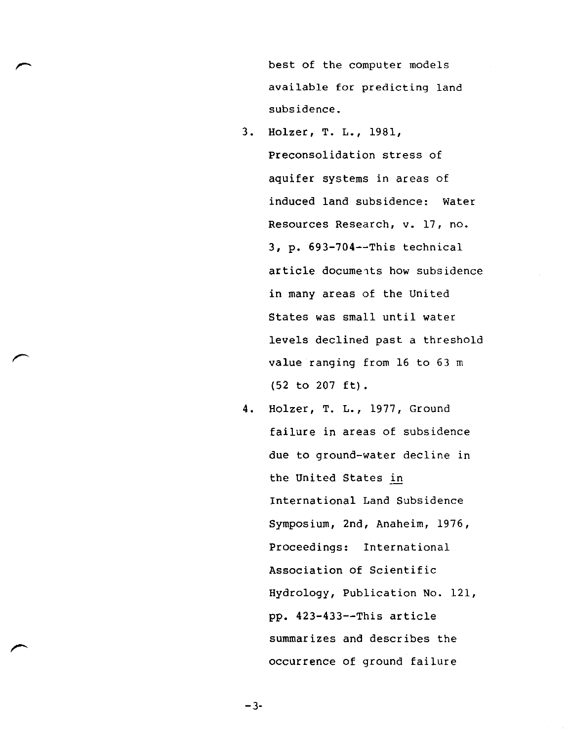best of the computer models available for predicting land subsidence.

- 3. Holzer, T. L., 1981, Preconsolidation stress of aquifer systems in areas of induced land subsidence: Water Resources Research, v. 17, no. 3, p. 693-704--This technical article documents how subsidence in many areas of the United States was small until water levels declined past a threshold value ranging from 16 to 63 m (52 to 207 ft).
- 4. Holzer, T. L., 1977, Ground failure in areas of subsidence due to ground-water decline in the United States in International Land Subsidence Symposium, 2nd, Anaheim, 1976, Proceedings: International Association of Scientific Hydrology, Publication No. 121, pp. 423-433--This article summarizes and describes the occurrence of ground failure

-3-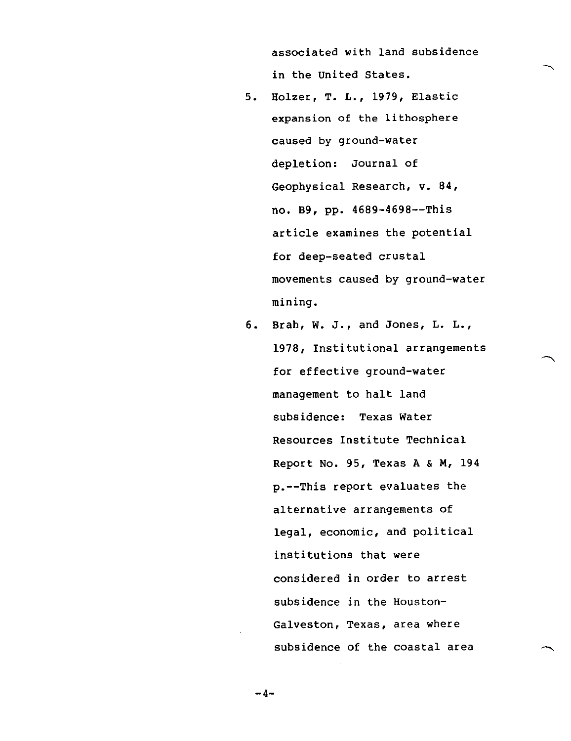associated with land subsidence in the United States.

- 5. Holzer, T. L., 1979, Elastic expansion of the lithosphere caused by ground-water depletion: Journal of Geophysical Research, v. 84, no. B9, pp. 4689-4698--This article examines the potential for deep-seated crustal movements caused by ground-water mining.
- 6. Brah, W. J., and Jones, L. L., 1978, Institutional arrangements for effective ground-water management to halt land subsidence: Texas Water Resources Institute Technical Report No. 95, Texas A & M, 194 p.--This report evaluates the alternative arrangements of legal, economic, and political institutions that were considered in order to arrest subsidence in the Houston-Galveston, Texas, area where subsidence of the coastal area

 $-4-$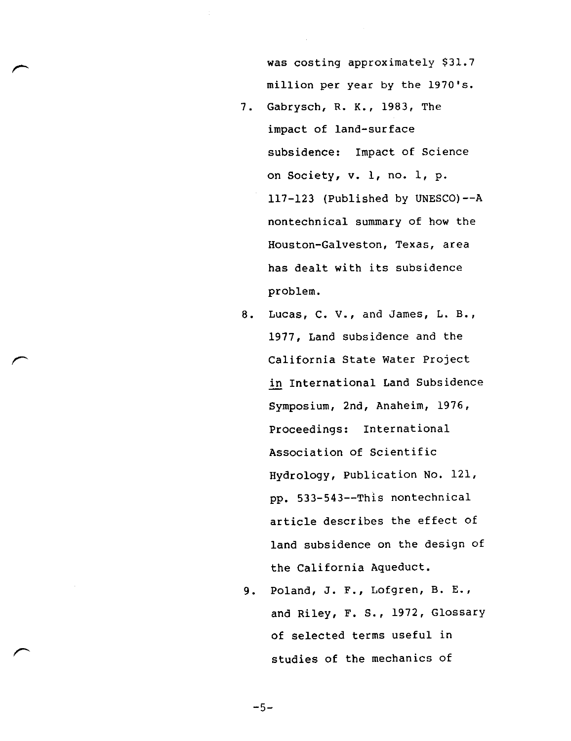was costing approximately \$31.7 million per year by the 1970's.

- 7. Gabrysch, R. K., 1983, The impact of land-surface subsidence: Impact of Science on Society, v. 1, no. 1, p. 117-123 (Published by UNESCO)--A nontechnical summary of how the Houston-Galveston, Texas, area has dealt with its subsidence problem.
- 8. Lucas, C. V., and James, L. B., 1977, Land subsidence and the California State Water Project in International Land Subsidence Symposium, 2nd, Anaheim, 1976, Proceedings: International Association of Scientific Hydrology, Publication No. 121, pp. 533-543--This nontechnical article describes the effect of land subsidence on the design of the California Aqueduct.
- 9. Poland, J. F., Lofgren, B. E., and Riley, F. S., 1972, Glossary of selected terms useful in studies of the mechanics of

 $-5-$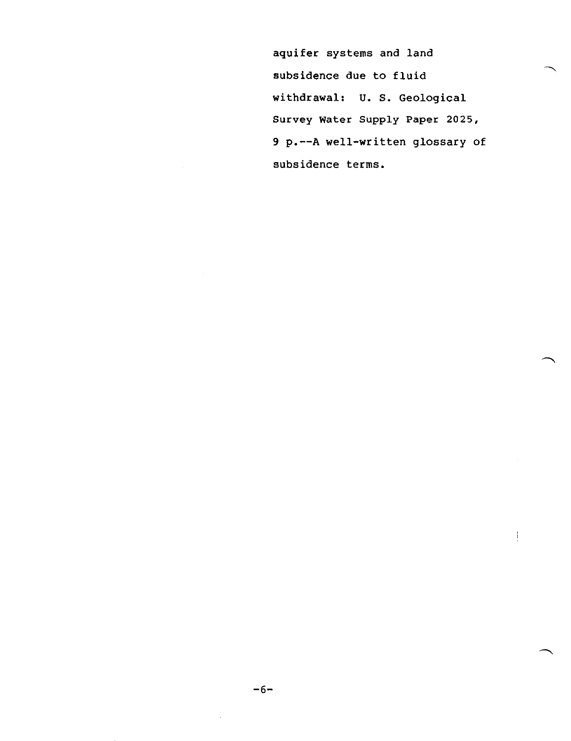aquifer systems and land subsidence due to fluid withdrawal: U. S. Geological Survey water Supply Paper 2025, 9 p.--A well-written glossary of subsidence terms.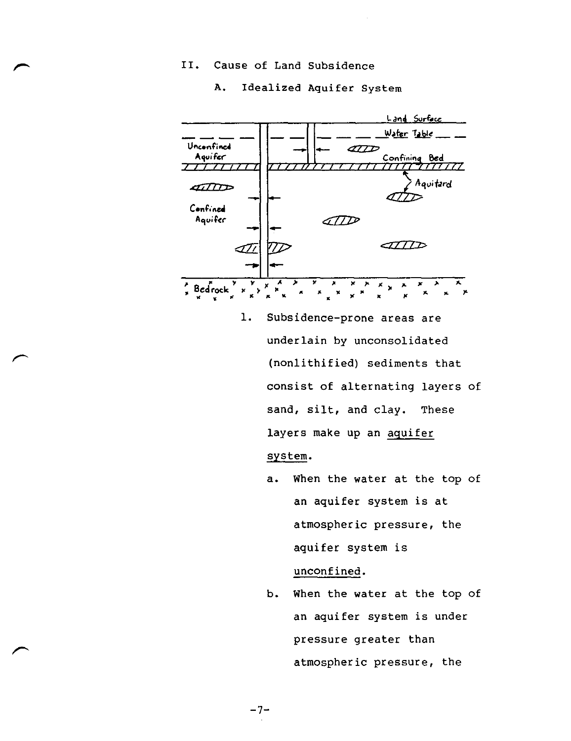### II. Cause of Land Subsidence



# A. Idealized Aquifer System

1. Subsidence-prone areas are underlain by unconsolidated (nonlithified) sediments that consist of alternating layers of sand, silt, and clay. These layers make up an aquifer

## system.

a. When the water at the top of an aquifer system is at atmospheric pressure, the aquifer system is

# unconfined.

b. When the water at the top of an aquifer system is under pressure greater than atmospheric pressure, the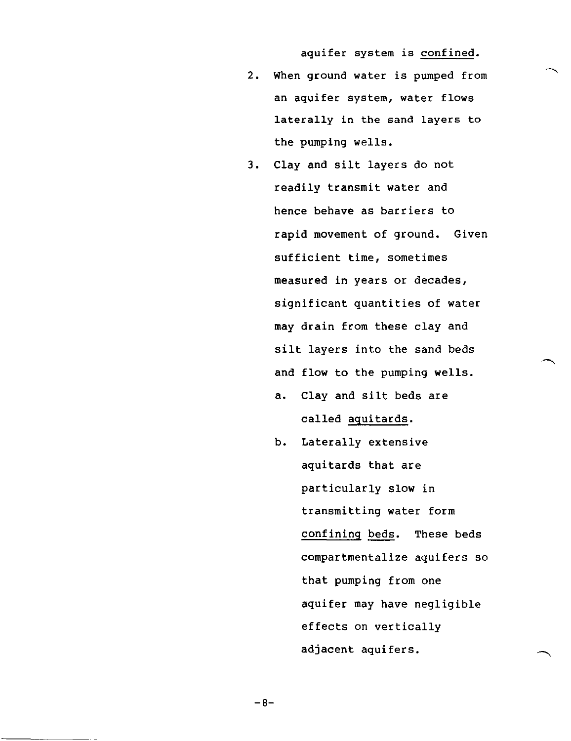aquifer system is confined.

- 2. When ground water is pumped from an aquifer system, water flows laterally in the sand layers to the pumping wells.
- 3. Clay and silt layers do not readily transmit water and hence behave as barriers to rapid movement of ground. Given sufficient time, sometimes measured in years or decades, significant quantities of water may drain from these clay and silt layers into the sand beds and flow to the pumping wells.
	- a. Clay and silt beds are called aquitards.
	- b. Laterally extensive aquitards that are particularly slow in transmitting water form confining beds. These beds compartmentalize aquifers so that pumping from one aquifer may have negligible effects on vertically adjacent aquifers.

 $-8-$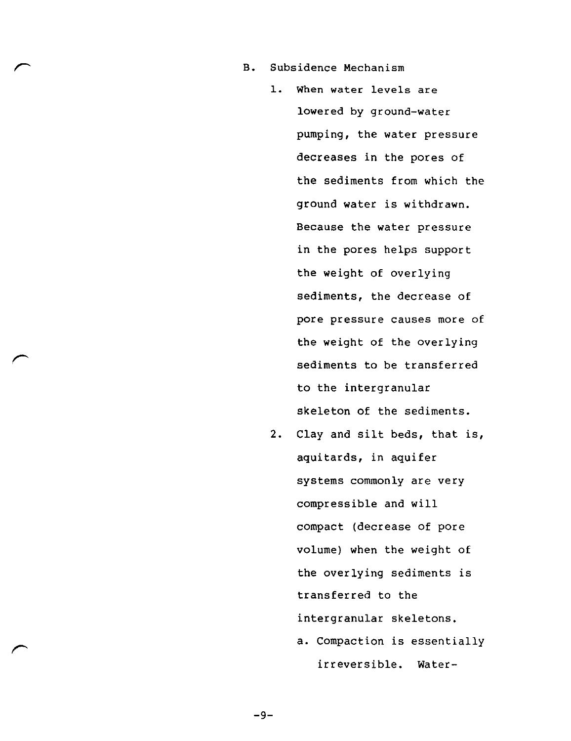- r and the subsidence Mechanism<br>
R. Subsidence Mechanism
	- 1. When water levels are lowered by ground-water pumping, the water pressure decreases in the pores of the sediments from which the ground water is withdrawn. Because the water pressure in the pores helps support the weight of overlying sediments, the decrease of pore pressure causes more of the weight of the overlying sediments to be transferred to the intergranular skeleton of the sediments.
	- 2. Clay and silt beds, that is, aquitards, in aquifer systems commonly are very compressible and will compact (decrease of pore volume) when the weight of the overlying sediments is transferred to the intergranular skeletons. a. Compaction is essentially

irreversible. Water-

-9-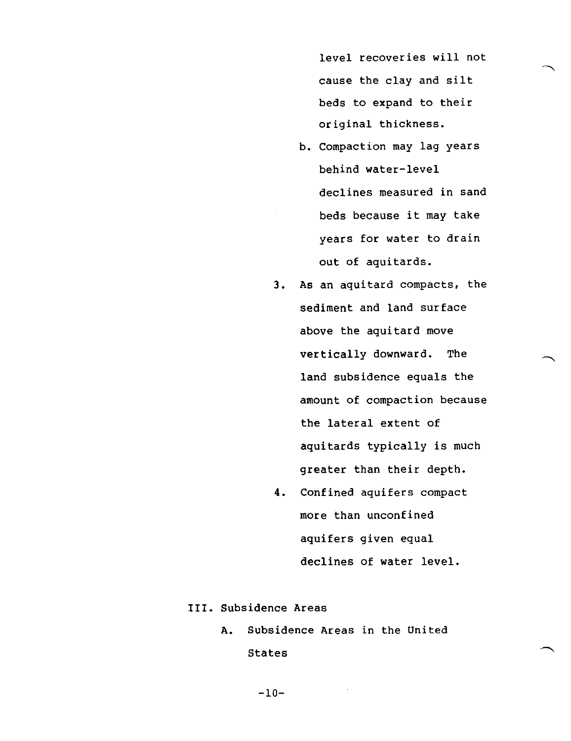level recoveries will not cause the clay and silt beds to expand to their original thickness.

- b. Compaction may lag years behind water-level declines measured in sand beds because it may take years for water to drain out of aquitards.
- 3. As an aquitard compacts, the sediment and land surface above the aquitard move vertically downward. The land subsidence equals the amount of compaction because the lateral extent of aquitards typically is much greater than their depth.
- 4. Confined aquifers compact more than unconfined aquifers given equal declines of water level.

## III. Subsidence Areas

A. Subsidence Areas in the United States

-10-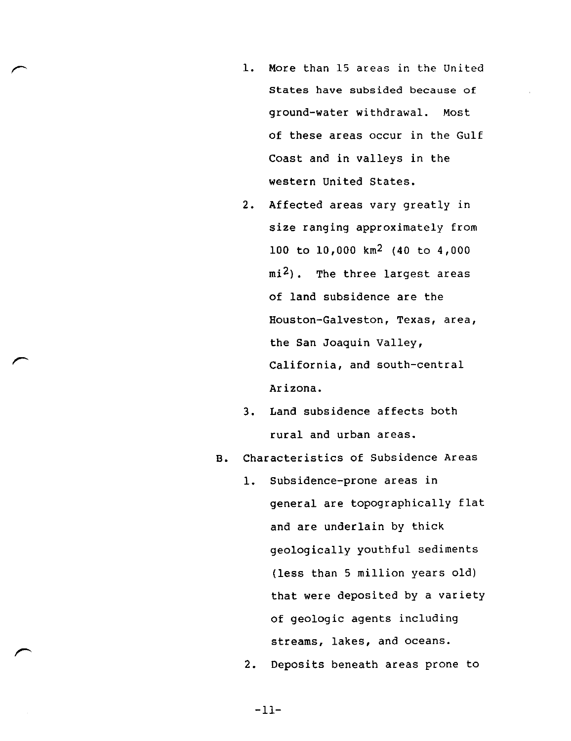- 1. More than 15 areas in the United States have subsided because of ground-water withdrawal. Most of these areas occur in the Gulf Coast and in valleys in the western United States.
- 2. Affected areas vary greatly in size ranging approximately from 100 to 10,000 km2 (40 to 4,000  $mi<sup>2</sup>$ . The three largest areas of land subsidence are the Houston-Galveston, Texas, area, the San Joaquin Valley, California, and south-central Arizona.
- 3. Land subsidence affects both rural and urban areas.
- B. Characteristics of Subsidence Areas
	- 1. Subsidence-prone areas in general are topographically flat and are underlain by thick geologically youthful sediments (less than 5 million years old) that were deposited by a variety of geologic agents including streams, lakes, and oceans.
	- 2. Deposits beneath areas prone to

 $-11-$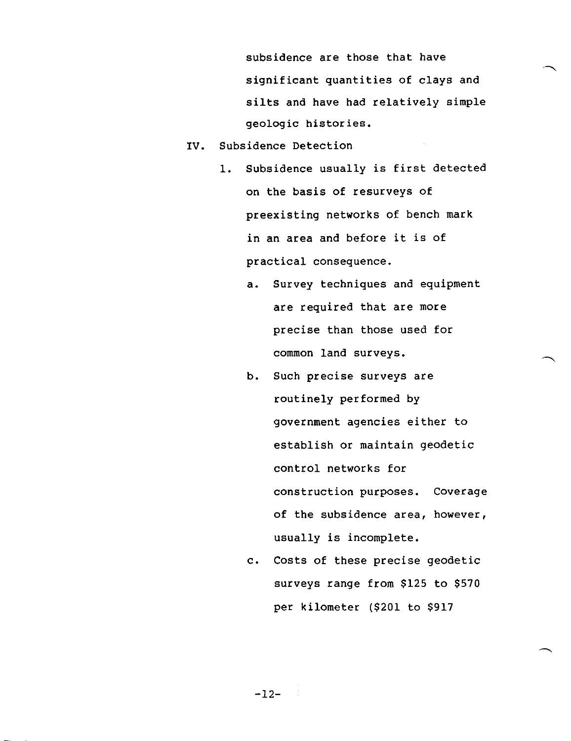subsidence are those that have significant quantities of clays and silts and have had relatively simple geologic histories.

- IV. Subsidence Detection
	- 1. Subsidence usually is first detected on the basis of resurveys of preexisting networks of bench mark in an area and before it is of practical consequence.
		- a. Survey techniques and equipment are required that are more precise than those used for common land surveys.
		- b. Such precise surveys are routinely performed by government agencies either to establish or maintain geodetic control networks for construction purposes. Coverage of the subsidence area, however, usually is incomplete.
		- c. Costs of these precise geodetic surveys range from \$125 to \$570 per kilometer (\$201 to \$917

-12-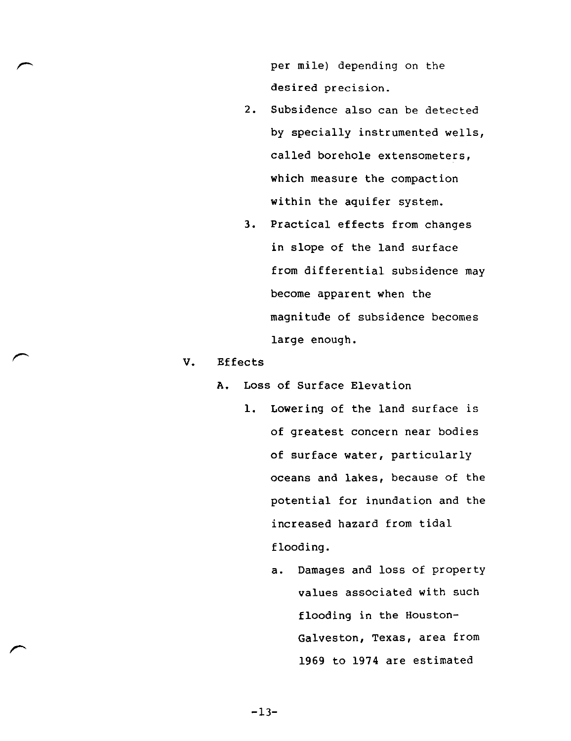per mile) depending on the desired precision.

- 2. Subsidence also can be detected by specially instrumented wells, called borehole extensometers, which measure the compaction within the aquifer system.
- 3. Practical effects from changes in slope of the land surface from differential subsidence may become apparent when the magnitude of subsidence becomes large enough.

### V. Effects

- A. Loss of Surface Elevation
	- 1. Lowering of the land surface is of greatest concern near bodies of surface water, particularly oceans and lakes, because of the potential for inundation and the increased hazard from tidal flooding.
		- a. Damages and loss of property values associated with such flooding in the Houston-Galveston, Texas, area from 1969 to 1974 are estimated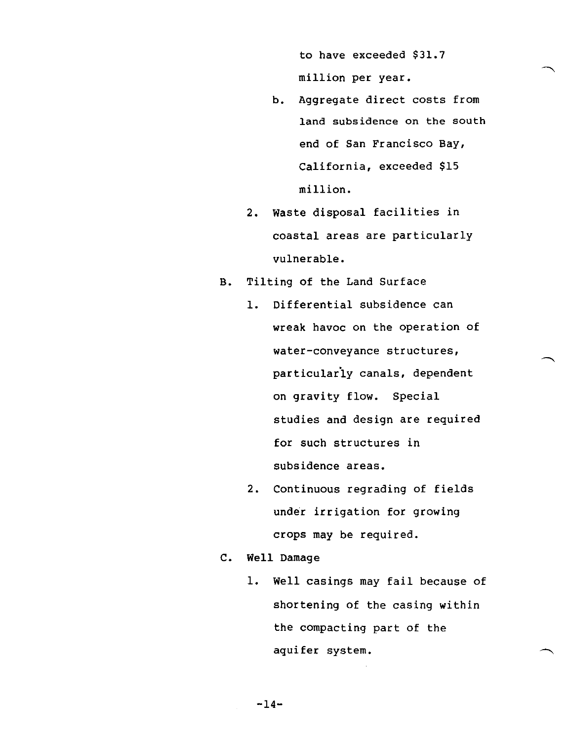to have exceeded \$31.7 million per year.

- b. Aggregate direct costs from land subsidence on the south end of San Francisco Bay, California, exceeded \$15 million.
- 2. Waste disposal facilities in coastal areas are particularly vulnerable.
- B. Tilting of the Land Surface
	- 1. Differential subsidence can wreak havoc on the operation of water-conveyance structures, particularly canals, dependent on gravity flow. Special studies and design are required for such structures in subsidence areas.
	- 2. Continuous regrading of fields under irrigation for growing crops may be required.

## C. Well Damage

1. Well casings may fail because of shortening of the casing within the compacting part of the aquifer system.

-14-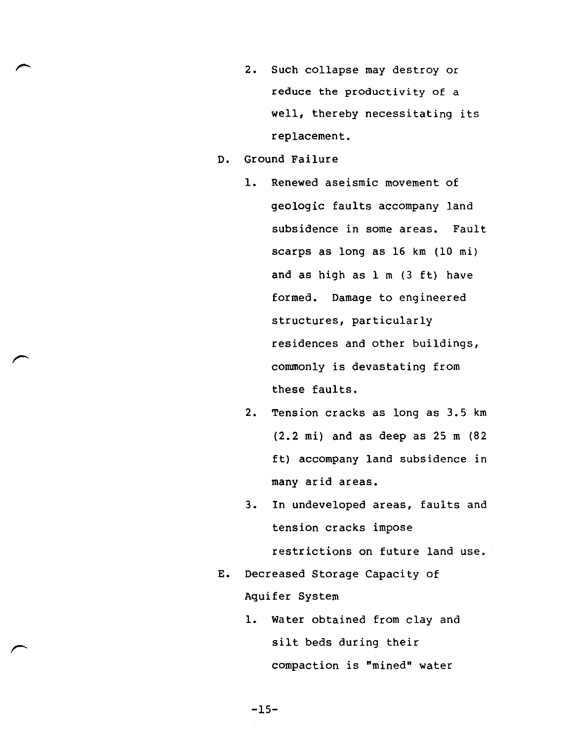2. Such collapse may destroy or reduce the productivity of a well, thereby necessitating its replacement.

## D. Ground Failure

- 1. Renewed aseismic movement of geologic faults accompany land subsidence in some areas. Fault scarps as long as 16 km (10 mi) and as high as  $1 \text{ m}$  (3 ft) have formed. Damage to engineered structures, particularly residences and other buildings, commonly is devastating from these faults.
- 2. Tension cracks as long as 3.5 km (2.2 mi) and as deep as 25 m (82 ft) accompany land subsidence in many arid areas.
- 3. In undeveloped areas, faults and tension cracks impose restrictions on future land use.
- E. Decreased Storage Capacity of Aquifer System
	- 1. Water obtained from clay and silt beds during their compaction is "mined" water

-15-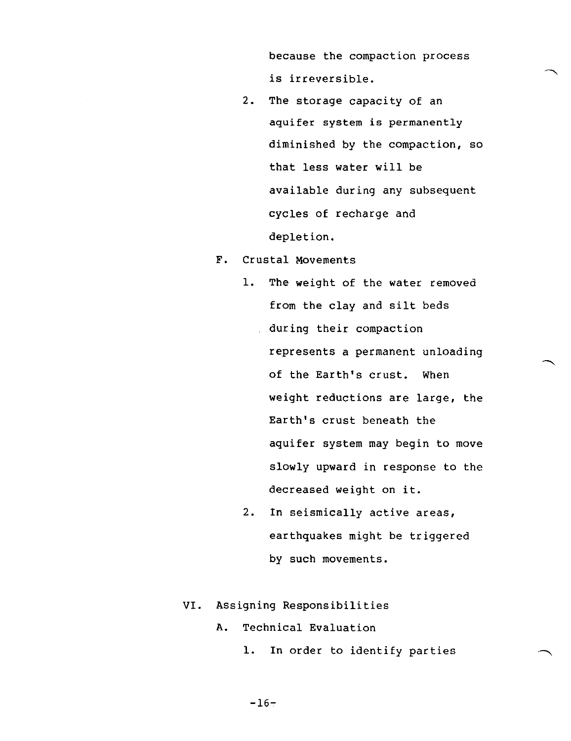because the compaction process is irreversible.

- 2. The storage capacity of an aquifer system is permanently diminished by the compaction, so that less water will be available during any subsequent cycles of recharge and depletion.
- F. Crustal Movements
	- 1. The weight of the water removed from the clay and silt beds during their compaction represents a permanent unloading of the Earth's crust. When weight reductions are large, the Earth's crust beneath the aquifer system may begin to move slowly upward in response to the decreased weight on it.
	- 2. In seismically active areas, earthquakes might be triggered by such movements.
- VI. Assigning Responsibilities
	- A. Technical Evaluation
		- 1. In order to identify parties

-16-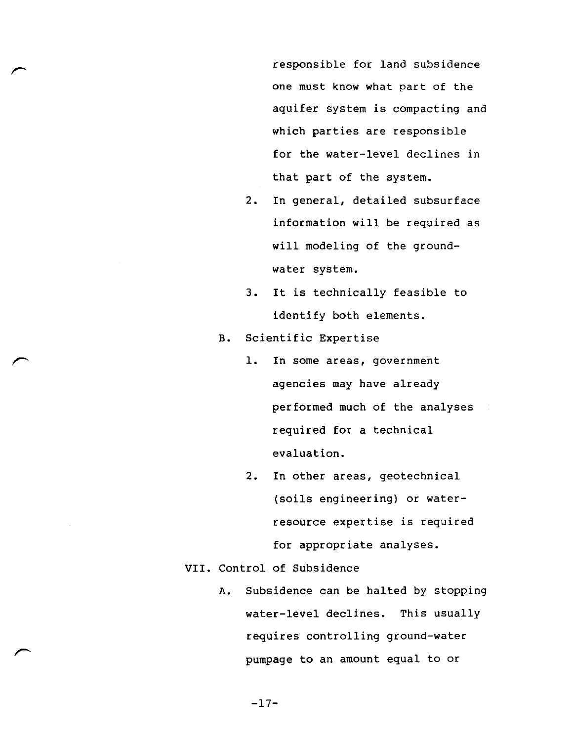responsible for land subsidence one must know what part of the aquifer system is compacting and which parties are responsible for the water-level declines in that part of the system.

- 2. In general, detailed subsurface information will be required as will modeling of the groundwater system.
- 3. It is technically feasible to identify both elements.

B. Scientific Expertise

- 1. In some areas, government agencies may have already performed much of the analyses required for a technical evaluation.
- 2. In other areas, geotechnical (soils engineering) or waterresource expertise is required for appropriate analyses.

VII. Control of Subsidence

A. Subsidence can be halted by stopping water-level declines. This usually requires controlling ground-water pumpage to an amount equal to or

-17-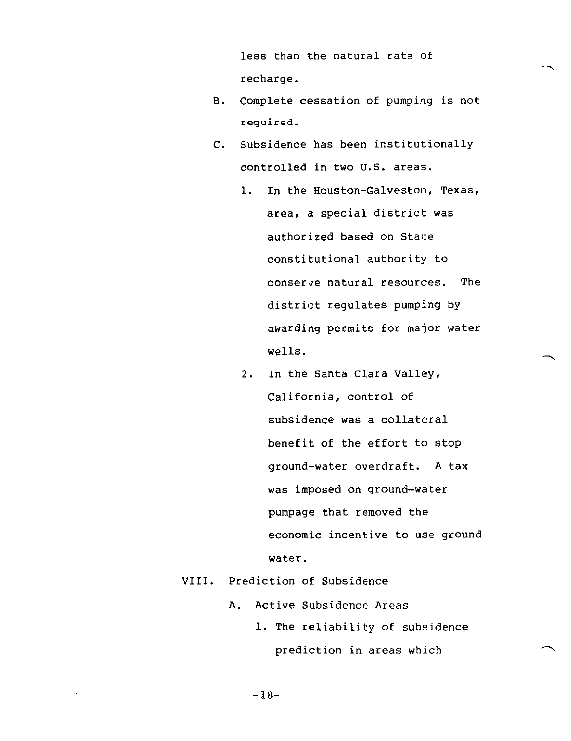less than the natural rate of recharge.

- B. Complete cessation of pumping is not required.
- C. Subsidence has been institutionally controlled in two U.S. areas.
	- 1. In the Houston-Galveston, Texas, area, a special district was authorized based on State constitutional authority to conserve natural resources. The district regulates pumping by awarding permits for major water wells.
	- 2. In the Santa Clara Valley, California, control of subsidence was a collateral benefit of the effort to stop ground-water overdraft. A tax was imposed on ground-water pumpage that removed the economic incentive to use ground water.

# VIII. Prediction of Subsidence

- A. Active Subsidence Areas
	- 1. The reliability of subsidence prediction in areas which

-18-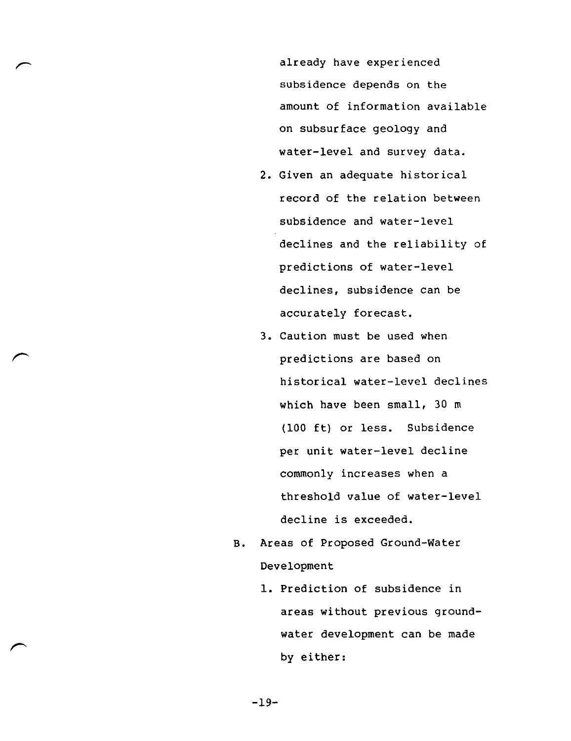already have experienced subsidence depends on the amount of information available on subsurface geology and water-level and survey data.

- 2. Given an adequate historical record of the relation between subsidence and water-level declines and the reliability of predictions of water-level declines, subsidence can be accurately forecast.
- 3. Caution must be used when predictions are based on historical water-level declines which have been small, 30 m (100 ft) or less. Subsidence per unit water-level decline commonly increases when a threshold value of water-level decline is exceeded.
- B. Areas of Proposed Ground-Water Development
	- 1. Prediction of subsidence in areas without previous groundwater development can be made by either: